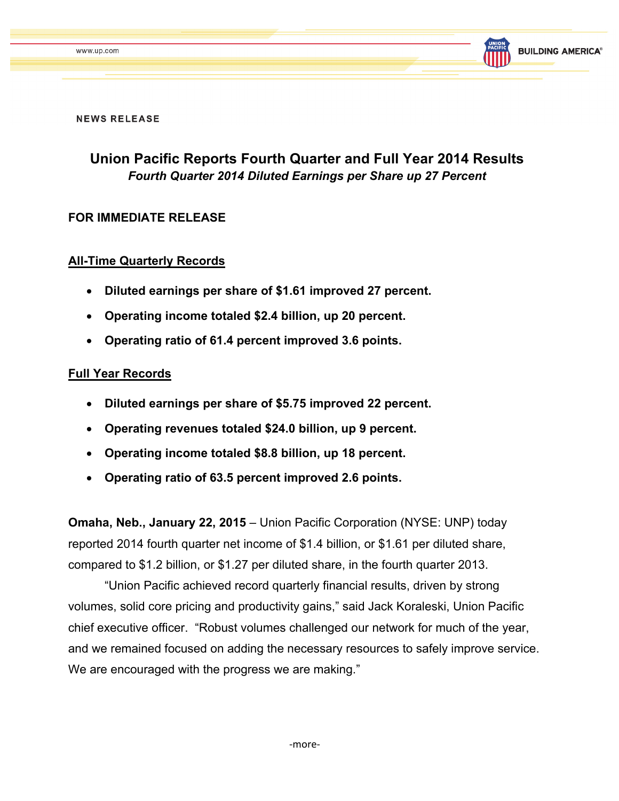

**NEWS RELEASE** 

# **Union Pacific Reports Fourth Quarter and Full Year 2014 Results**  *Fourth Quarter 2014 Diluted Earnings per Share up 27 Percent*

### **FOR IMMEDIATE RELEASE**

## **All-Time Quarterly Records**

- **Diluted earnings per share of \$1.61 improved 27 percent.**
- **Operating income totaled \$2.4 billion, up 20 percent.**
- **Operating ratio of 61.4 percent improved 3.6 points.**

### **Full Year Records**

- **Diluted earnings per share of \$5.75 improved 22 percent.**
- **Operating revenues totaled \$24.0 billion, up 9 percent.**
- **Operating income totaled \$8.8 billion, up 18 percent.**
- **Operating ratio of 63.5 percent improved 2.6 points.**

**Omaha, Neb., January 22, 2015** – Union Pacific Corporation (NYSE: UNP) today reported 2014 fourth quarter net income of \$1.4 billion, or \$1.61 per diluted share, compared to \$1.2 billion, or \$1.27 per diluted share, in the fourth quarter 2013.

"Union Pacific achieved record quarterly financial results, driven by strong volumes, solid core pricing and productivity gains," said Jack Koraleski, Union Pacific chief executive officer. "Robust volumes challenged our network for much of the year, and we remained focused on adding the necessary resources to safely improve service. We are encouraged with the progress we are making."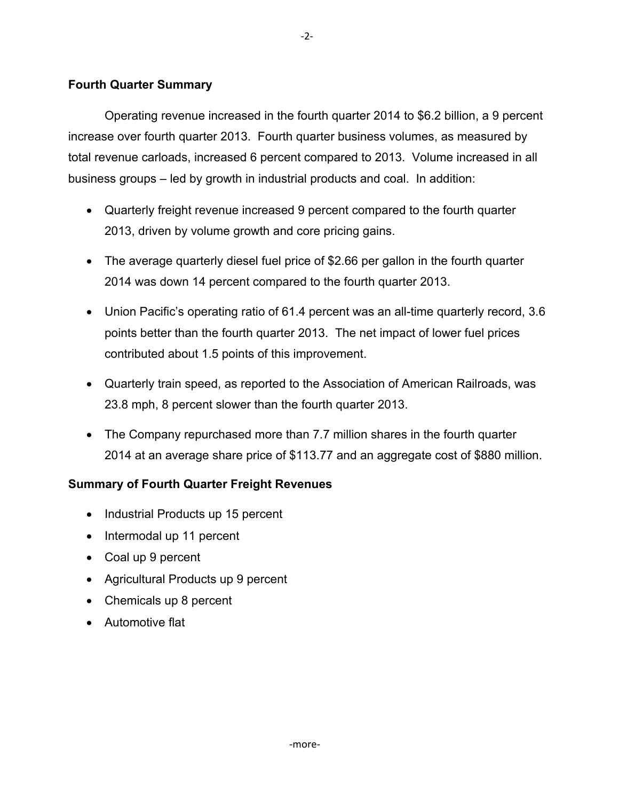### **Fourth Quarter Summary**

 Operating revenue increased in the fourth quarter 2014 to \$6.2 billion, a 9 percent increase over fourth quarter 2013. Fourth quarter business volumes, as measured by total revenue carloads, increased 6 percent compared to 2013. Volume increased in all business groups – led by growth in industrial products and coal. In addition:

- Quarterly freight revenue increased 9 percent compared to the fourth quarter 2013, driven by volume growth and core pricing gains.
- The average quarterly diesel fuel price of \$2.66 per gallon in the fourth quarter 2014 was down 14 percent compared to the fourth quarter 2013.
- Union Pacific's operating ratio of 61.4 percent was an all-time quarterly record, 3.6 points better than the fourth quarter 2013. The net impact of lower fuel prices contributed about 1.5 points of this improvement.
- Quarterly train speed, as reported to the Association of American Railroads, was 23.8 mph, 8 percent slower than the fourth quarter 2013.
- The Company repurchased more than 7.7 million shares in the fourth quarter 2014 at an average share price of \$113.77 and an aggregate cost of \$880 million.

### **Summary of Fourth Quarter Freight Revenues**

- Industrial Products up 15 percent
- Intermodal up 11 percent
- Coal up 9 percent
- Agricultural Products up 9 percent
- Chemicals up 8 percent
- Automotive flat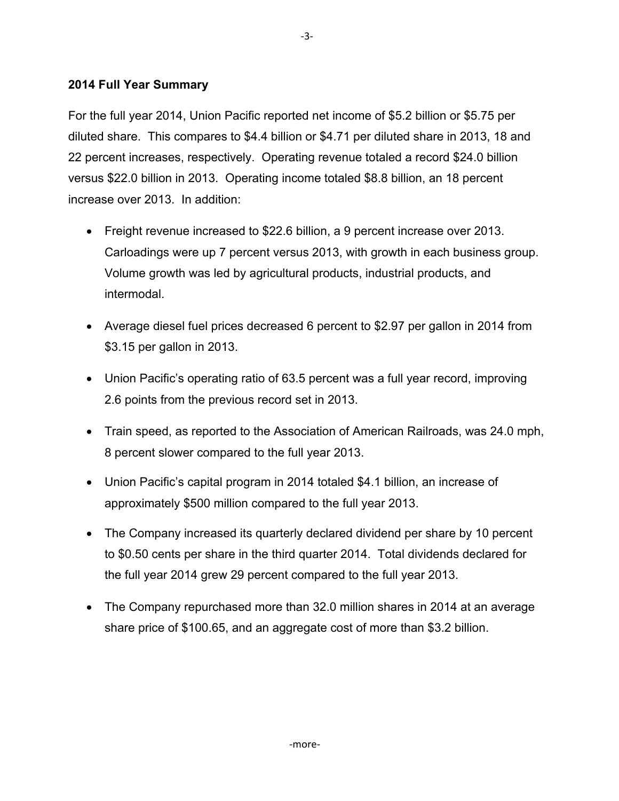### **2014 Full Year Summary**

For the full year 2014, Union Pacific reported net income of \$5.2 billion or \$5.75 per diluted share. This compares to \$4.4 billion or \$4.71 per diluted share in 2013, 18 and 22 percent increases, respectively. Operating revenue totaled a record \$24.0 billion versus \$22.0 billion in 2013. Operating income totaled \$8.8 billion, an 18 percent increase over 2013. In addition:

- Freight revenue increased to \$22.6 billion, a 9 percent increase over 2013. Carloadings were up 7 percent versus 2013, with growth in each business group. Volume growth was led by agricultural products, industrial products, and intermodal.
- Average diesel fuel prices decreased 6 percent to \$2.97 per gallon in 2014 from \$3.15 per gallon in 2013.
- Union Pacific's operating ratio of 63.5 percent was a full year record, improving 2.6 points from the previous record set in 2013.
- Train speed, as reported to the Association of American Railroads, was 24.0 mph, 8 percent slower compared to the full year 2013.
- Union Pacific's capital program in 2014 totaled \$4.1 billion, an increase of approximately \$500 million compared to the full year 2013.
- The Company increased its quarterly declared dividend per share by 10 percent to \$0.50 cents per share in the third quarter 2014. Total dividends declared for the full year 2014 grew 29 percent compared to the full year 2013.
- The Company repurchased more than 32.0 million shares in 2014 at an average share price of \$100.65, and an aggregate cost of more than \$3.2 billion.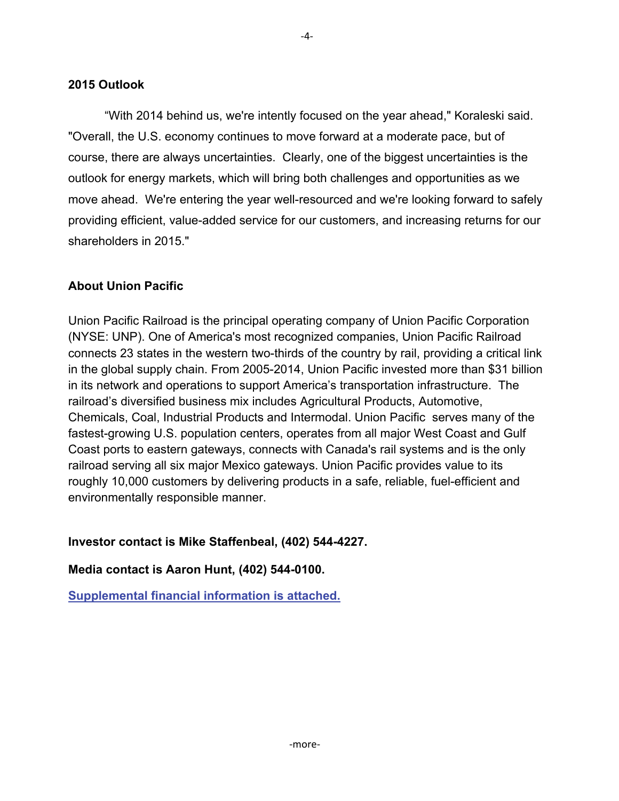### **2015 Outlook**

"With 2014 behind us, we're intently focused on the year ahead," Koraleski said. "Overall, the U.S. economy continues to move forward at a moderate pace, but of course, there are always uncertainties. Clearly, one of the biggest uncertainties is the outlook for energy markets, which will bring both challenges and opportunities as we move ahead. We're entering the year well-resourced and we're looking forward to safely providing efficient, value-added service for our customers, and increasing returns for our shareholders in 2015."

### **About Union Pacific**

Union Pacific Railroad is the principal operating company of Union Pacific Corporation (NYSE: UNP). One of America's most recognized companies, Union Pacific Railroad connects 23 states in the western two-thirds of the country by rail, providing a critical link in the global supply chain. From 2005-2014, Union Pacific invested more than \$31 billion in its network and operations to support America's transportation infrastructure. The railroad's diversified business mix includes Agricultural Products, Automotive, Chemicals, Coal, Industrial Products and Intermodal. Union Pacific serves many of the fastest-growing U.S. population centers, operates from all major West Coast and Gulf Coast ports to eastern gateways, connects with Canada's rail systems and is the only railroad serving all six major Mexico gateways. Union Pacific provides value to its roughly 10,000 customers by delivering products in a safe, reliable, fuel-efficient and environmentally responsible manner.

### **Investor contact is Mike Staffenbeal, (402) 544-4227.**

### **Media contact is Aaron Hunt, (402) 544-0100.**

**Supplemental financial information is attached.**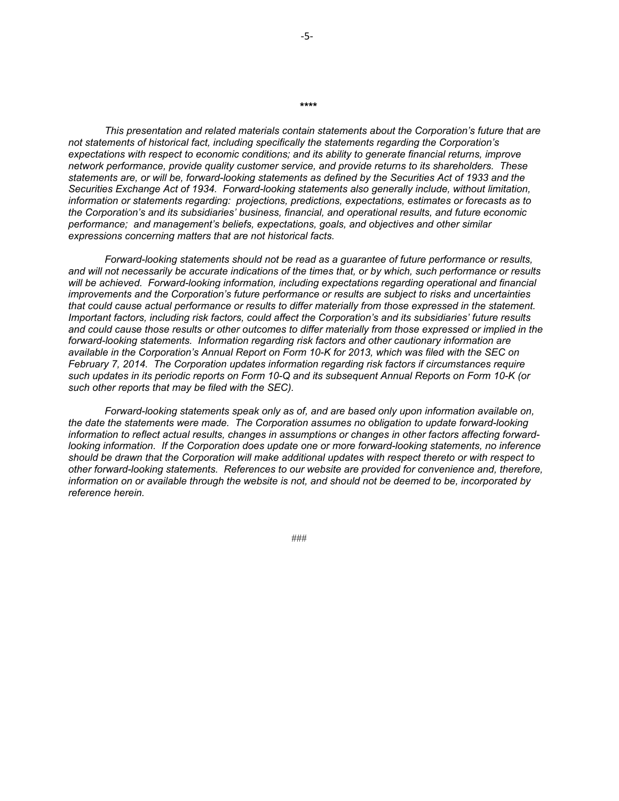#### **\*\*\*\***

*This presentation and related materials contain statements about the Corporation's future that are not statements of historical fact, including specifically the statements regarding the Corporation's expectations with respect to economic conditions; and its ability to generate financial returns, improve network performance, provide quality customer service, and provide returns to its shareholders. These statements are, or will be, forward-looking statements as defined by the Securities Act of 1933 and the Securities Exchange Act of 1934. Forward-looking statements also generally include, without limitation, information or statements regarding: projections, predictions, expectations, estimates or forecasts as to the Corporation's and its subsidiaries' business, financial, and operational results, and future economic performance; and management's beliefs, expectations, goals, and objectives and other similar expressions concerning matters that are not historical facts.* 

*Forward-looking statements should not be read as a guarantee of future performance or results, and will not necessarily be accurate indications of the times that, or by which, such performance or results will be achieved. Forward-looking information, including expectations regarding operational and financial improvements and the Corporation's future performance or results are subject to risks and uncertainties that could cause actual performance or results to differ materially from those expressed in the statement. Important factors, including risk factors, could affect the Corporation's and its subsidiaries' future results and could cause those results or other outcomes to differ materially from those expressed or implied in the forward-looking statements. Information regarding risk factors and other cautionary information are available in the Corporation's Annual Report on Form 10-K for 2013, which was filed with the SEC on February 7, 2014. The Corporation updates information regarding risk factors if circumstances require such updates in its periodic reports on Form 10-Q and its subsequent Annual Reports on Form 10-K (or such other reports that may be filed with the SEC).* 

*Forward-looking statements speak only as of, and are based only upon information available on, the date the statements were made. The Corporation assumes no obligation to update forward-looking information to reflect actual results, changes in assumptions or changes in other factors affecting forwardlooking information. If the Corporation does update one or more forward-looking statements, no inference should be drawn that the Corporation will make additional updates with respect thereto or with respect to other forward-looking statements. References to our website are provided for convenience and, therefore, information on or available through the website is not, and should not be deemed to be, incorporated by reference herein.* 

###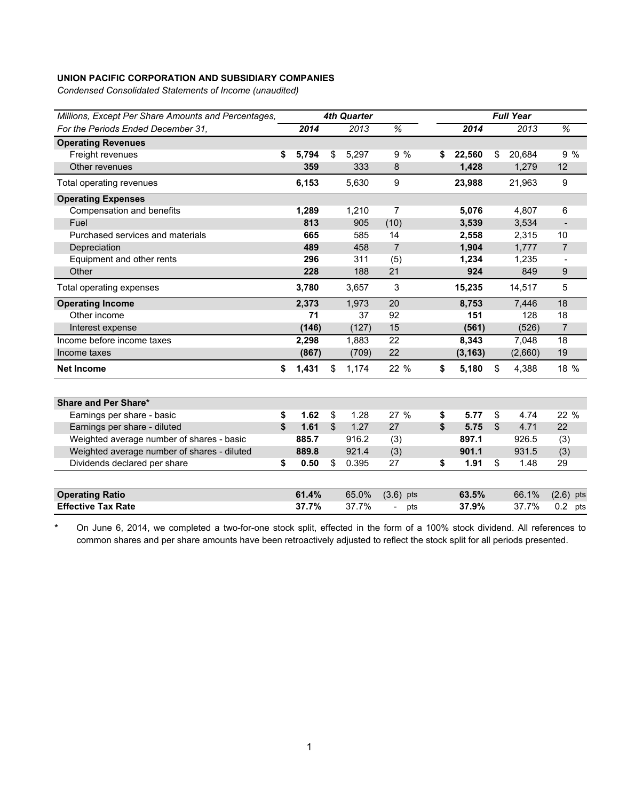*Condensed Consolidated Statements of Income (unaudited)*

| Millions, Except Per Share Amounts and Percentages, |             | <b>4th Quarter</b> |                                 |              | <b>Full Year</b> |                  |
|-----------------------------------------------------|-------------|--------------------|---------------------------------|--------------|------------------|------------------|
| For the Periods Ended December 31,                  | 2014        | 2013               | $\%$                            | 2014         | 2013             | %                |
| <b>Operating Revenues</b>                           |             |                    |                                 |              |                  |                  |
| Freight revenues                                    | \$<br>5,794 | \$<br>5,297        | 9%                              | \$<br>22,560 | \$<br>20.684     | 9 %              |
| Other revenues                                      | 359         | 333                | 8                               | 1,428        | 1,279            | 12               |
| Total operating revenues                            | 6,153       | 5,630              | 9                               | 23,988       | 21,963           | 9                |
| <b>Operating Expenses</b>                           |             |                    |                                 |              |                  |                  |
| Compensation and benefits                           | 1,289       | 1,210              | $\overline{7}$                  | 5,076        | 4,807            | 6                |
| Fuel                                                | 813         | 905                | (10)                            | 3,539        | 3,534            |                  |
| Purchased services and materials                    | 665         | 585                | 14                              | 2,558        | 2,315            | 10               |
| Depreciation                                        | 489         | 458                | $\overline{7}$                  | 1,904        | 1,777            | $\overline{7}$   |
| Equipment and other rents                           | 296         | 311                | (5)                             | 1,234        | 1,235            |                  |
| Other                                               | 228         | 188                | 21                              | 924          | 849              | $\boldsymbol{9}$ |
| Total operating expenses                            | 3,780       | 3,657              | 3                               | 15,235       | 14,517           | 5                |
| <b>Operating Income</b>                             | 2,373       | 1,973              | 20                              | 8,753        | 7,446            | 18               |
| Other income                                        | 71          | 37                 | 92                              | 151          | 128              | 18               |
| Interest expense                                    | (146)       | (127)              | 15                              | (561)        | (526)            | $\overline{7}$   |
| Income before income taxes                          | 2,298       | 1,883              | 22                              | 8,343        | 7,048            | 18               |
| Income taxes                                        | (867)       | (709)              | 22                              | (3, 163)     | (2,660)          | 19               |
| <b>Net Income</b>                                   | \$<br>1,431 | \$<br>1,174        | 22 %                            | \$<br>5,180  | \$<br>4,388      | 18 %             |
|                                                     |             |                    |                                 |              |                  |                  |
| Share and Per Share*                                |             |                    |                                 |              |                  |                  |
| Earnings per share - basic                          | \$<br>1.62  | \$<br>1.28         | 27 %                            | \$<br>5.77   | \$<br>4.74       | 22 %             |
| Earnings per share - diluted                        | \$<br>1.61  | \$<br>1.27         | 27                              | \$<br>5.75   | \$<br>4.71       | 22               |
| Weighted average number of shares - basic           | 885.7       | 916.2              | (3)                             | 897.1        | 926.5            | (3)              |
| Weighted average number of shares - diluted         | 889.8       | 921.4              | (3)                             | 901.1        | 931.5            | (3)              |
| Dividends declared per share                        | \$<br>0.50  | \$<br>0.395        | 27                              | \$<br>1.91   | \$<br>1.48       | 29               |
|                                                     |             |                    |                                 |              |                  |                  |
| <b>Operating Ratio</b>                              | 61.4%       | 65.0%              | $(3.6)$ pts                     | 63.5%        | 66.1%            | $(2.6)$ pts      |
| <b>Effective Tax Rate</b>                           | 37.7%       | 37.7%              | pts<br>$\overline{\phantom{0}}$ | 37.9%        | 37.7%            | 0.2<br>pts       |

**\*** On June 6, 2014, we completed a two-for-one stock split, effected in the form of a 100% stock dividend. All references to common shares and per share amounts have been retroactively adjusted to reflect the stock split for all periods presented.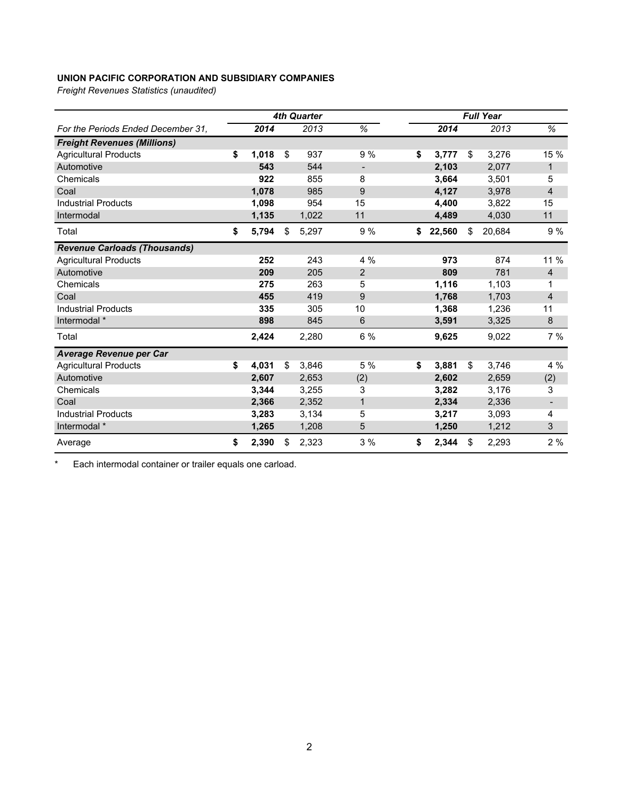*Freight Revenues Statistics (unaudited)* 

|                                     |             | <b>4th Quarter</b> |                |              | <b>Full Year</b> |                          |
|-------------------------------------|-------------|--------------------|----------------|--------------|------------------|--------------------------|
| For the Periods Ended December 31,  | 2014        | 2013               | %              | 2014         | 2013             | %                        |
| <b>Freight Revenues (Millions)</b>  |             |                    |                |              |                  |                          |
| <b>Agricultural Products</b>        | \$<br>1,018 | \$<br>937          | 9%             | \$<br>3,777  | \$<br>3,276      | 15 %                     |
| Automotive                          | 543         | 544                |                | 2,103        | 2,077            | $\mathbf{1}$             |
| Chemicals                           | 922         | 855                | 8              | 3,664        | 3,501            | 5                        |
| Coal                                | 1,078       | 985                | 9              | 4,127        | 3,978            | $\overline{\mathbf{4}}$  |
| <b>Industrial Products</b>          | 1,098       | 954                | 15             | 4,400        | 3,822            | 15                       |
| Intermodal                          | 1,135       | 1,022              | 11             | 4,489        | 4,030            | 11                       |
| Total                               | \$<br>5,794 | \$<br>5,297        | 9%             | \$<br>22,560 | \$<br>20,684     | 9%                       |
| <b>Revenue Carloads (Thousands)</b> |             |                    |                |              |                  |                          |
| <b>Agricultural Products</b>        | 252         | 243                | 4 %            | 973          | 874              | 11 %                     |
| Automotive                          | 209         | 205                | $\overline{2}$ | 809          | 781              | $\overline{4}$           |
| Chemicals                           | 275         | 263                | 5              | 1,116        | 1,103            | 1                        |
| Coal                                | 455         | 419                | 9              | 1,768        | 1,703            | 4                        |
| <b>Industrial Products</b>          | 335         | 305                | 10             | 1,368        | 1,236            | 11                       |
| Intermodal *                        | 898         | 845                | 6              | 3,591        | 3,325            | 8                        |
| Total                               | 2,424       | 2,280              | 6 %            | 9,625        | 9,022            | 7%                       |
| Average Revenue per Car             |             |                    |                |              |                  |                          |
| <b>Agricultural Products</b>        | \$<br>4,031 | \$<br>3,846        | 5 %            | \$<br>3,881  | \$<br>3,746      | 4 %                      |
| Automotive                          | 2,607       | 2,653              | (2)            | 2,602        | 2,659            | (2)                      |
| Chemicals                           | 3,344       | 3,255              | 3              | 3,282        | 3,176            | 3                        |
| Coal                                | 2,366       | 2,352              | $\mathbf{1}$   | 2,334        | 2,336            | $\overline{\phantom{a}}$ |
| <b>Industrial Products</b>          | 3,283       | 3,134              | 5              | 3,217        | 3,093            | 4                        |
| Intermodal *                        | 1,265       | 1,208              | 5              | 1,250        | 1,212            | 3                        |
| Average                             | \$<br>2,390 | \$<br>2,323        | 3%             | \$<br>2,344  | \$<br>2,293      | 2%                       |

\* Each intermodal container or trailer equals one carload.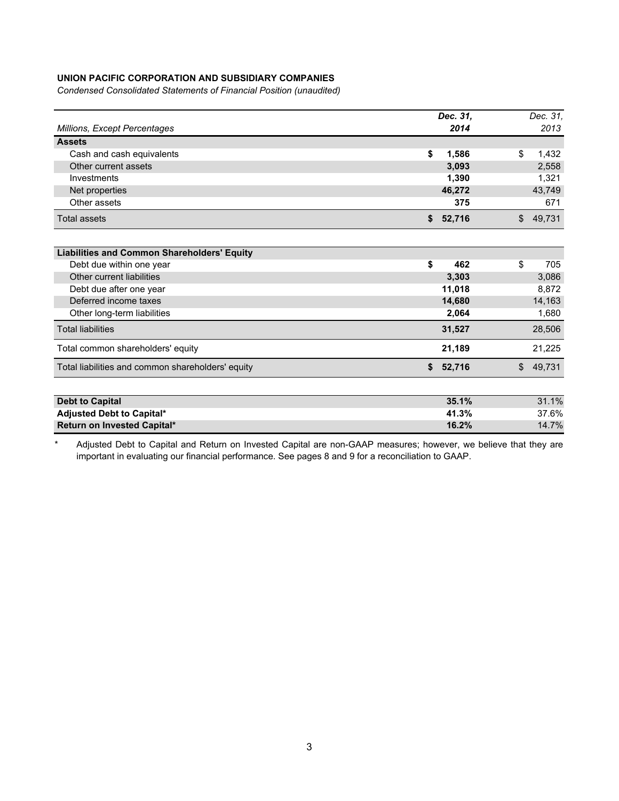*Condensed Consolidated Statements of Financial Position (unaudited)*

|                                                    | Dec. 31.     | Dec. 31.                 |
|----------------------------------------------------|--------------|--------------------------|
| <b>Millions, Except Percentages</b>                | 2014         | 2013                     |
| <b>Assets</b>                                      |              |                          |
| Cash and cash equivalents                          | \$<br>1,586  | \$<br>1,432              |
| Other current assets                               | 3,093        | 2,558                    |
| Investments                                        | 1,390        | 1,321                    |
| Net properties                                     | 46,272       | 43,749                   |
| Other assets                                       | 375          | 671                      |
| <b>Total assets</b>                                | 52,716<br>\$ | $\mathfrak{S}$<br>49,731 |
|                                                    |              |                          |
| <b>Liabilities and Common Shareholders' Equity</b> |              |                          |
| Debt due within one year                           | \$<br>462    | \$<br>705                |
| Other current liabilities                          | 3,303        | 3,086                    |
| Debt due after one year                            | 11,018       | 8,872                    |
| Deferred income taxes                              | 14,680       | 14,163                   |
| Other long-term liabilities                        | 2,064        | 1,680                    |
| <b>Total liabilities</b>                           | 31,527       | 28,506                   |
| Total common shareholders' equity                  | 21,189       | 21,225                   |
| Total liabilities and common shareholders' equity  | 52,716<br>\$ | \$<br>49,731             |
|                                                    |              |                          |
| <b>Debt to Capital</b>                             | 35.1%        | 31.1%                    |
| Adjusted Debt to Capital*                          | 41.3%        | 37.6%                    |
| Return on Invested Capital*                        | 16.2%        | 14.7%                    |

\* Adjusted Debt to Capital and Return on Invested Capital are non-GAAP measures; however, we believe that they are important in evaluating our financial performance. See pages 8 and 9 for a reconciliation to GAAP.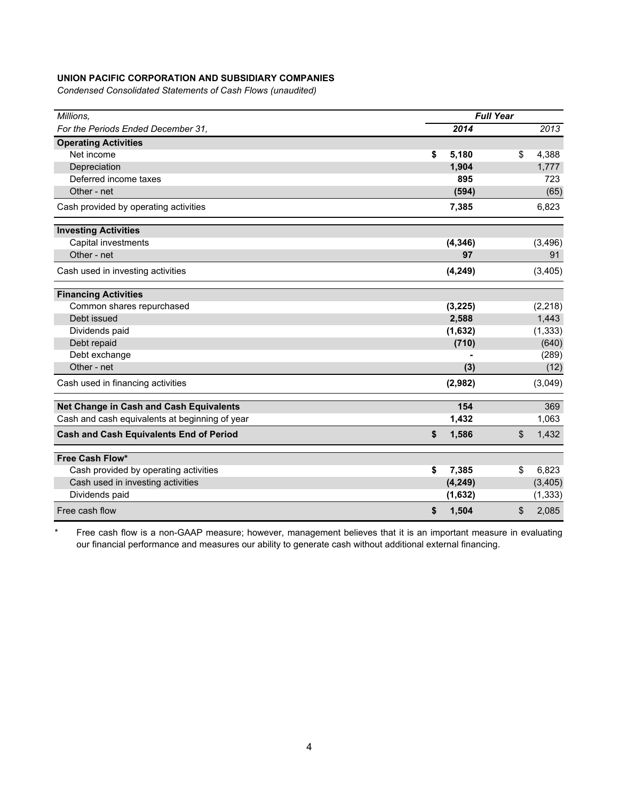*Condensed Consolidated Statements of Cash Flows (unaudited)*

| Millions,                                      |             | <b>Full Year</b> |          |
|------------------------------------------------|-------------|------------------|----------|
| For the Periods Ended December 31,             | 2014        |                  | 2013     |
| <b>Operating Activities</b>                    |             |                  |          |
| Net income                                     | \$<br>5,180 | \$               | 4,388    |
| Depreciation                                   | 1,904       |                  | 1,777    |
| Deferred income taxes                          | 895         |                  | 723      |
| Other - net                                    | (594)       |                  | (65)     |
| Cash provided by operating activities          | 7,385       |                  | 6,823    |
| <b>Investing Activities</b>                    |             |                  |          |
| Capital investments                            | (4, 346)    |                  | (3, 496) |
| Other - net                                    | 97          |                  | 91       |
| Cash used in investing activities              | (4, 249)    |                  | (3,405)  |
| <b>Financing Activities</b>                    |             |                  |          |
| Common shares repurchased                      | (3, 225)    |                  | (2, 218) |
| Debt issued                                    | 2,588       |                  | 1,443    |
| Dividends paid                                 | (1,632)     |                  | (1, 333) |
| Debt repaid                                    | (710)       |                  | (640)    |
| Debt exchange                                  |             |                  | (289)    |
| Other - net                                    | (3)         |                  | (12)     |
| Cash used in financing activities              | (2,982)     |                  | (3,049)  |
| Net Change in Cash and Cash Equivalents        | 154         |                  | 369      |
| Cash and cash equivalents at beginning of year | 1,432       |                  | 1,063    |
| <b>Cash and Cash Equivalents End of Period</b> | \$<br>1,586 | \$               | 1,432    |
| Free Cash Flow*                                |             |                  |          |
| Cash provided by operating activities          | \$<br>7,385 | \$               | 6,823    |
| Cash used in investing activities              | (4, 249)    |                  | (3, 405) |
| Dividends paid                                 | (1,632)     |                  | (1, 333) |
| Free cash flow                                 | \$<br>1,504 | \$               | 2,085    |

\* Free cash flow is a non-GAAP measure; however, management believes that it is an important measure in evaluating our financial performance and measures our ability to generate cash without additional external financing.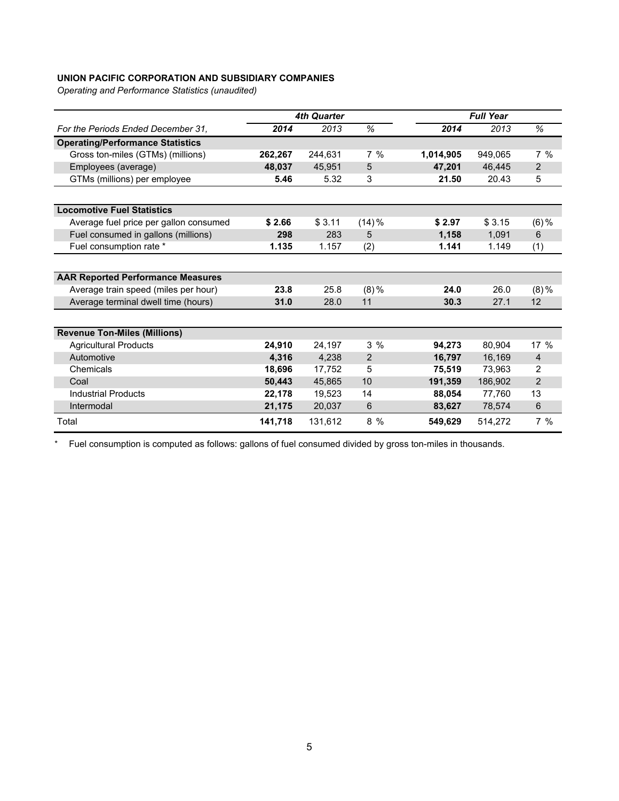*Operating and Performance Statistics (unaudited)*

|                                          |         | <b>4th Quarter</b> |                |           | <b>Full Year</b> |                         |
|------------------------------------------|---------|--------------------|----------------|-----------|------------------|-------------------------|
| For the Periods Ended December 31,       | 2014    | 2013               | %              | 2014      | 2013             | %                       |
| <b>Operating/Performance Statistics</b>  |         |                    |                |           |                  |                         |
| Gross ton-miles (GTMs) (millions)        | 262,267 | 244,631            | $7\%$          | 1,014,905 | 949,065          | $7\%$                   |
| Employees (average)                      | 48,037  | 45,951             | 5              | 47,201    | 46,445           | $\overline{2}$          |
| GTMs (millions) per employee             | 5.46    | 5.32               | 3              | 21.50     | 20.43            | 5                       |
|                                          |         |                    |                |           |                  |                         |
| <b>Locomotive Fuel Statistics</b>        |         |                    |                |           |                  |                         |
| Average fuel price per gallon consumed   | \$2.66  | \$3.11             | $(14)$ %       | \$2.97    | \$3.15           | $(6)$ %                 |
| Fuel consumed in gallons (millions)      | 298     | 283                | 5              | 1,158     | 1,091            | 6                       |
| Fuel consumption rate *                  | 1.135   | 1.157              | (2)            | 1.141     | 1.149            | (1)                     |
|                                          |         |                    |                |           |                  |                         |
| <b>AAR Reported Performance Measures</b> |         |                    |                |           |                  |                         |
| Average train speed (miles per hour)     | 23.8    | 25.8               | $(8) \%$       | 24.0      | 26.0             | $(8)\%$                 |
| Average terminal dwell time (hours)      | 31.0    | 28.0               | 11             | 30.3      | 27.1             | 12                      |
|                                          |         |                    |                |           |                  |                         |
| <b>Revenue Ton-Miles (Millions)</b>      |         |                    |                |           |                  |                         |
| <b>Agricultural Products</b>             | 24,910  | 24,197             | $3\%$          | 94,273    | 80,904           | $17 \frac{9}{6}$        |
| Automotive                               | 4,316   | 4,238              | $\overline{2}$ | 16,797    | 16,169           | $\overline{\mathbf{4}}$ |
| Chemicals                                | 18,696  | 17,752             | 5              | 75,519    | 73,963           | $\overline{2}$          |
| Coal                                     | 50,443  | 45,865             | 10             | 191,359   | 186,902          | $\overline{2}$          |
| <b>Industrial Products</b>               | 22,178  | 19,523             | 14             | 88,054    | 77,760           | 13                      |
| Intermodal                               | 21,175  | 20,037             | 6              | 83,627    | 78,574           | 6                       |
| Total                                    | 141,718 | 131,612            | $8\%$          | 549,629   | 514,272          | $7\%$                   |

\* Fuel consumption is computed as follows: gallons of fuel consumed divided by gross ton-miles in thousands.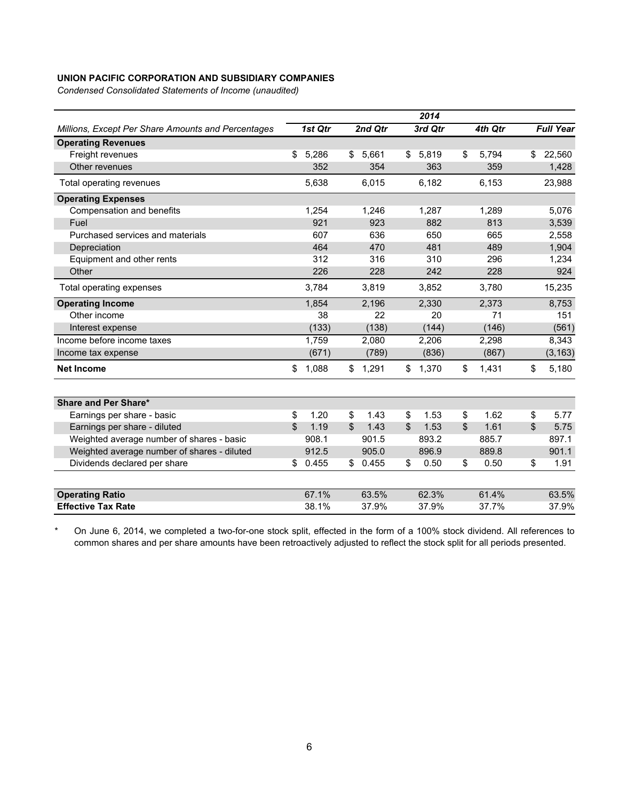*Condensed Consolidated Statements of Income (unaudited)*

|                                                    |             |             | 2014        |                |         |                  |
|----------------------------------------------------|-------------|-------------|-------------|----------------|---------|------------------|
| Millions, Except Per Share Amounts and Percentages | 1st Qtr     | 2nd Qtr     | 3rd Qtr     |                | 4th Qtr | <b>Full Year</b> |
| <b>Operating Revenues</b>                          |             |             |             |                |         |                  |
| Freight revenues                                   | \$<br>5,286 | \$<br>5,661 | \$<br>5.819 | \$             | 5,794   | \$<br>22,560     |
| Other revenues                                     | 352         | 354         | 363         |                | 359     | 1,428            |
| Total operating revenues                           | 5,638       | 6,015       | 6,182       |                | 6,153   | 23,988           |
| <b>Operating Expenses</b>                          |             |             |             |                |         |                  |
| Compensation and benefits                          | 1,254       | 1,246       | 1,287       |                | 1,289   | 5,076            |
| Fuel                                               | 921         | 923         | 882         |                | 813     | 3,539            |
| Purchased services and materials                   | 607         | 636         | 650         |                | 665     | 2,558            |
| Depreciation                                       | 464         | 470         | 481         |                | 489     | 1,904            |
| Equipment and other rents                          | 312         | 316         | 310         |                | 296     | 1,234            |
| Other                                              | 226         | 228         | 242         |                | 228     | 924              |
| Total operating expenses                           | 3,784       | 3,819       | 3,852       |                | 3,780   | 15,235           |
| <b>Operating Income</b>                            | 1,854       | 2,196       | 2,330       |                | 2,373   | 8,753            |
| Other income                                       | 38          | 22          | 20          |                | 71      | 151              |
| Interest expense                                   | (133)       | (138)       | (144)       |                | (146)   | (561)            |
| Income before income taxes                         | 1,759       | 2,080       | 2,206       |                | 2,298   | 8,343            |
| Income tax expense                                 | (671)       | (789)       | (836)       |                | (867)   | (3, 163)         |
| <b>Net Income</b>                                  | \$<br>1,088 | \$<br>1,291 | \$<br>1,370 | \$             | 1,431   | \$<br>5,180      |
|                                                    |             |             |             |                |         |                  |
| Share and Per Share*                               |             |             |             |                |         |                  |
| Earnings per share - basic                         | \$<br>1.20  | \$<br>1.43  | \$<br>1.53  | \$             | 1.62    | \$<br>5.77       |
| Earnings per share - diluted                       | \$<br>1.19  | \$<br>1.43  | \$<br>1.53  | $\mathfrak{L}$ | 1.61    | \$<br>5.75       |
| Weighted average number of shares - basic          | 908.1       | 901.5       | 893.2       |                | 885.7   | 897.1            |
| Weighted average number of shares - diluted        | 912.5       | 905.0       | 896.9       |                | 889.8   | 901.1            |
| Dividends declared per share                       | \$<br>0.455 | \$<br>0.455 | \$<br>0.50  | \$             | 0.50    | \$<br>1.91       |
|                                                    |             |             |             |                |         |                  |
| <b>Operating Ratio</b>                             | 67.1%       | 63.5%       | 62.3%       |                | 61.4%   | 63.5%            |
| <b>Effective Tax Rate</b>                          | 38.1%       | 37.9%       | 37.9%       |                | 37.7%   | 37.9%            |

\* On June 6, 2014, we completed a two-for-one stock split, effected in the form of a 100% stock dividend. All references to common shares and per share amounts have been retroactively adjusted to reflect the stock split for all periods presented.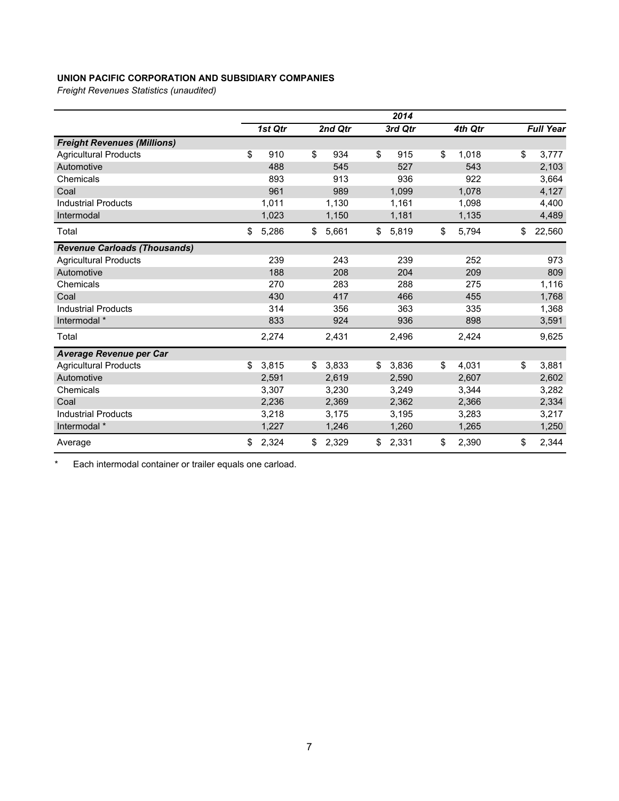*Freight Revenues Statistics (unaudited)* 

|                                     |             |             | 2014        |             |                  |
|-------------------------------------|-------------|-------------|-------------|-------------|------------------|
|                                     | 1st Qtr     | 2nd Qtr     | 3rd Qtr     | 4th Qtr     | <b>Full Year</b> |
| <b>Freight Revenues (Millions)</b>  |             |             |             |             |                  |
| <b>Agricultural Products</b>        | \$<br>910   | \$<br>934   | \$<br>915   | \$<br>1,018 | \$<br>3,777      |
| Automotive                          | 488         | 545         | 527         | 543         | 2,103            |
| Chemicals                           | 893         | 913         | 936         | 922         | 3,664            |
| Coal                                | 961         | 989         | 1,099       | 1,078       | 4,127            |
| <b>Industrial Products</b>          | 1.011       | 1,130       | 1,161       | 1,098       | 4,400            |
| Intermodal                          | 1,023       | 1,150       | 1,181       | 1,135       | 4,489            |
| Total                               | \$<br>5,286 | \$<br>5,661 | \$<br>5,819 | \$<br>5,794 | \$<br>22,560     |
| <b>Revenue Carloads (Thousands)</b> |             |             |             |             |                  |
| <b>Agricultural Products</b>        | 239         | 243         | 239         | 252         | 973              |
| Automotive                          | 188         | 208         | 204         | 209         | 809              |
| Chemicals                           | 270         | 283         | 288         | 275         | 1,116            |
| Coal                                | 430         | 417         | 466         | 455         | 1,768            |
| <b>Industrial Products</b>          | 314         | 356         | 363         | 335         | 1,368            |
| Intermodal *                        | 833         | 924         | 936         | 898         | 3,591            |
| Total                               | 2,274       | 2,431       | 2,496       | 2,424       | 9,625            |
| Average Revenue per Car             |             |             |             |             |                  |
| <b>Agricultural Products</b>        | \$<br>3,815 | \$<br>3,833 | \$<br>3,836 | \$<br>4,031 | \$<br>3,881      |
| Automotive                          | 2,591       | 2,619       | 2,590       | 2,607       | 2,602            |
| Chemicals                           | 3,307       | 3,230       | 3,249       | 3,344       | 3,282            |
| Coal                                | 2,236       | 2,369       | 2,362       | 2,366       | 2,334            |
| <b>Industrial Products</b>          | 3,218       | 3,175       | 3,195       | 3,283       | 3,217            |
| Intermodal *                        | 1,227       | 1,246       | 1,260       | 1,265       | 1,250            |
| Average                             | \$<br>2,324 | \$<br>2,329 | \$<br>2,331 | \$<br>2,390 | \$<br>2,344      |

\* Each intermodal container or trailer equals one carload.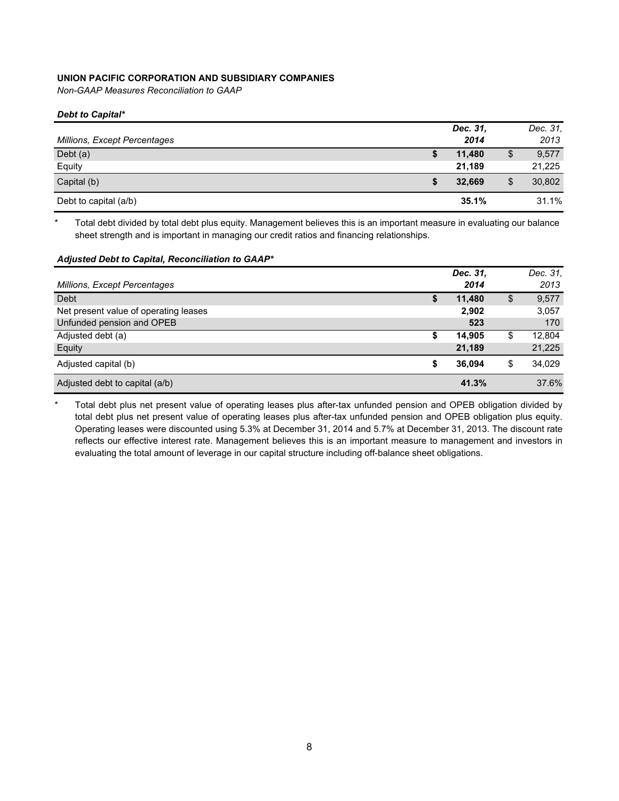*Non-GAAP Measures Reconciliation to GAAP*

#### *Debt to Capital\**

|                                     | Dec. 31. | Dec. 31, |
|-------------------------------------|----------|----------|
| <b>Millions, Except Percentages</b> | 2014     | 2013     |
| Debt $(a)$                          | 11,480   | 9,577    |
| Equity                              | 21,189   | 21,225   |
| Capital (b)                         | 32,669   | 30,802   |
| Debt to capital (a/b)               | 35.1%    | 31.1%    |

Total debt divided by total debt plus equity. Management believes this is an important measure in evaluating our balance sheet strength and is important in managing our credit ratios and financing relationships.

### *Adjusted Debt to Capital, Reconciliation to GAAP\**

|                                       |    | Dec. 31. |   | Dec. 31, |
|---------------------------------------|----|----------|---|----------|
| <b>Millions, Except Percentages</b>   |    | 2014     |   | 2013     |
| Debt                                  | ъ  | 11,480   | S | 9,577    |
| Net present value of operating leases |    | 2,902    |   | 3,057    |
| Unfunded pension and OPEB             |    | 523      |   | 170      |
| Adjusted debt (a)                     | S  | 14.905   | S | 12.804   |
| Equity                                |    | 21,189   |   | 21,225   |
| Adjusted capital (b)                  | \$ | 36.094   | S | 34,029   |
| Adjusted debt to capital (a/b)        |    | 41.3%    |   | 37.6%    |

Total debt plus net present value of operating leases plus after-tax unfunded pension and OPEB obligation divided by total debt plus net present value of operating leases plus after-tax unfunded pension and OPEB obligation plus equity. Operating leases were discounted using 5.3% at December 31, 2014 and 5.7% at December 31, 2013. The discount rate reflects our effective interest rate. Management believes this is an important measure to management and investors in evaluating the total amount of leverage in our capital structure including off-balance sheet obligations.